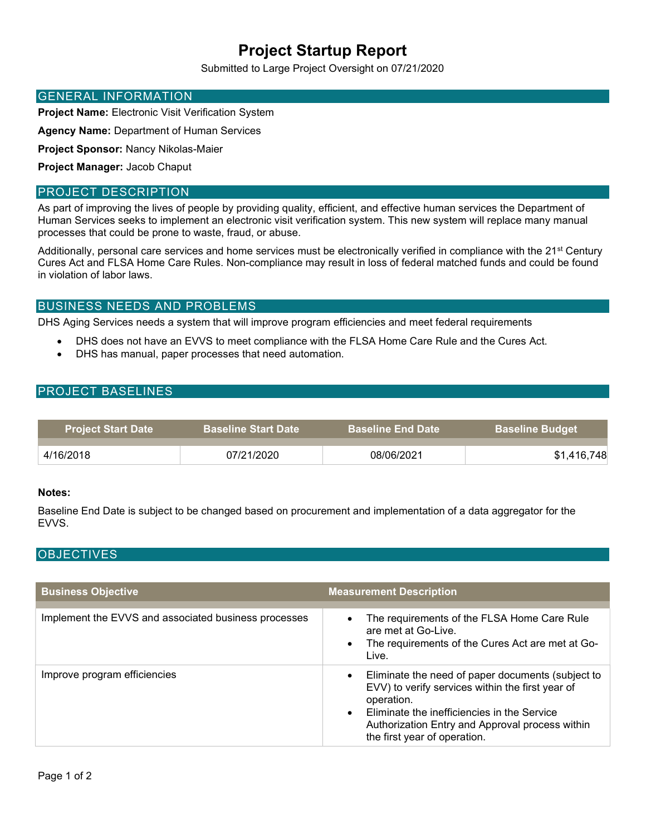# Project Startup Report

Submitted to Large Project Oversight on 07/21/2020

### GENERAL INFORMATION

Project Name: Electronic Visit Verification System

Agency Name: Department of Human Services

Project Sponsor: Nancy Nikolas-Maier

Project Manager: Jacob Chaput

## PROJECT DESCRIPTION

As part of improving the lives of people by providing quality, efficient, and effective human services the Department of Human Services seeks to implement an electronic visit verification system. This new system will replace many manual processes that could be prone to waste, fraud, or abuse.

Additionally, personal care services and home services must be electronically verified in compliance with the 21<sup>st</sup> Century Cures Act and FLSA Home Care Rules. Non-compliance may result in loss of federal matched funds and could be found in violation of labor laws.

### BUSINESS NEEDS AND PROBLEMS

DHS Aging Services needs a system that will improve program efficiencies and meet federal requirements

- DHS does not have an EVVS to meet compliance with the FLSA Home Care Rule and the Cures Act.
- DHS has manual, paper processes that need automation.

# PROJECT BASELINES

| <b>Project Start Date</b> | <b>Baseline Start Date</b> | <b>Baseline End Date</b> | <b>Baseline Budget</b> |
|---------------------------|----------------------------|--------------------------|------------------------|
| 4/16/2018                 | 07/21/2020                 | 08/06/2021               | \$1.416.748            |

### Notes:

Baseline End Date is subject to be changed based on procurement and implementation of a data aggregator for the EVVS.

### **OBJECTIVES**

| <b>Business Objective</b>                            | <b>Measurement Description</b>                                                                                                                                                                                                                        |
|------------------------------------------------------|-------------------------------------------------------------------------------------------------------------------------------------------------------------------------------------------------------------------------------------------------------|
| Implement the EVVS and associated business processes | The requirements of the FLSA Home Care Rule<br>are met at Go-Live.<br>The requirements of the Cures Act are met at Go-<br>Live.                                                                                                                       |
| Improve program efficiencies                         | Eliminate the need of paper documents (subject to<br>EVV) to verify services within the first year of<br>operation.<br>Eliminate the inefficiencies in the Service<br>Authorization Entry and Approval process within<br>the first year of operation. |